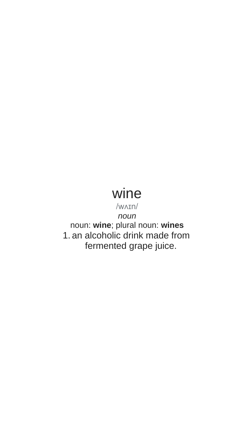# wine

/wʌɪn/

*noun* noun: **wine**; plural noun: **wines** 1. an alcoholic drink made from fermented grape juice.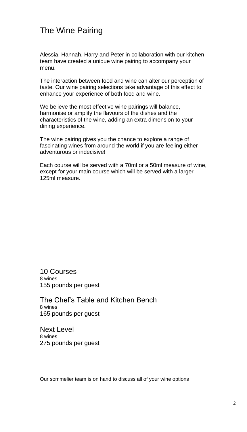### The Wine Pairing

Alessia, Hannah, Harry and Peter in collaboration with our kitchen team have created a unique wine pairing to accompany your menu.

The interaction between food and wine can alter our perception of taste. Our wine pairing selections take advantage of this effect to enhance your experience of both food and wine.

We believe the most effective wine pairings will balance, harmonise or amplify the flavours of the dishes and the characteristics of the wine, adding an extra dimension to your dining experience.

The wine pairing gives you the chance to explore a range of fascinating wines from around the world if you are feeling either adventurous or indecisive!

Each course will be served with a 70ml or a 50ml measure of wine, except for your main course which will be served with a larger 125ml measure.

10 Courses 8 wines 155 pounds per guest

The Chef's Table and Kitchen Bench 8 wines 165 pounds per guest

Next Level 8 wines 275 pounds per guest

Our sommelier team is on hand to discuss all of your wine options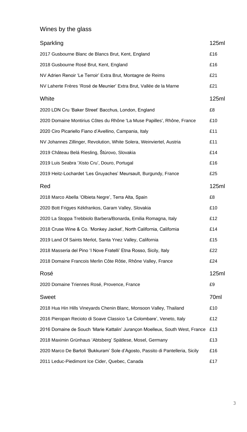### Wines by the glass

| Sparkling                                                                      | 125ml |
|--------------------------------------------------------------------------------|-------|
| 2017 Gusbourne Blanc de Blancs Brut, Kent, England                             | £16   |
| 2018 Gusbourne Rosé Brut, Kent, England                                        | £16   |
| NV Adrien Renoir 'Le Terroir' Extra Brut, Montagne de Reims                    | £21   |
| NV Laherte Frères 'Rosé de Meunier' Extra Brut, Vallée de la Marne             | £21   |
| White                                                                          | 125ml |
| 2020 LDN Cru 'Baker Street' Bacchus, London, England                           | £8    |
| 2020 Domaine Montirius Côtes du Rhône 'La Muse Papilles', Rhône, France        | £10   |
| 2020 Ciro Picariello Fiano d'Avellino, Campania, Italy                         | £11   |
| NV Johannes Zillinger, Revolution, White Solera, Weinviertel, Austria          | £11   |
| 2019 Château Belá Riesling, Štúrovo, Slovakia                                  | £14   |
| 2019 Luis Seabra 'Xisto Cru', Douro, Portugal                                  | £16   |
| 2019 Heitz-Lochardet 'Les Gruyaches' Meursault, Burgundy, France               | £25   |
| Red                                                                            | 125ml |
| 2018 Marco Abella 'Olbieta Negre', Terra Alta, Spain                           | £8    |
| 2020 Bott Frigyes Kékfrankos, Garam Valley, Slovakia                           | £10   |
| 2020 La Stoppa Trebbiolo Barbera/Bonarda, Emilia Romagna, Italy                | £12   |
| 2018 Cruse Wine & Co. 'Monkey Jacket', North California, California            | £14   |
| 2019 Land Of Saints Merlot, Santa Ynez Valley, California                      | £15   |
| 2018 Masseria del Pino 'I Nove Fratelli' Etna Rosso, Sicily, Italy             | £22   |
| 2018 Domaine Francois Merlin Côte Rôtie, Rhône Valley, France                  | £24   |
| Rosé                                                                           | 125ml |
| 2020 Domaine Triennes Rosé, Provence, France                                   | £9    |
| Sweet                                                                          | 70ml  |
| 2018 Hua Hin Hills Vineyards Chenin Blanc, Monsoon Valley, Thailand            | £10   |
| 2016 Pieropan Recioto di Soave Classico 'Le Colombare', Veneto, Italy          | £12   |
| 2016 Domaine de Souch 'Marie Kattalin' Jurançon Moelleux, South West, France   | £13   |
| 2018 Maximin Grünhaus 'Abtsberg' Spätlese, Mosel, Germany                      | £13   |
| 2020 Marco De Bartoli 'Bukkuram' Sole d'Agosto, Passito di Pantelleria, Sicily | £16   |
| 2011 Leduc-Piedimont Ice Cider, Quebec, Canada                                 | £17   |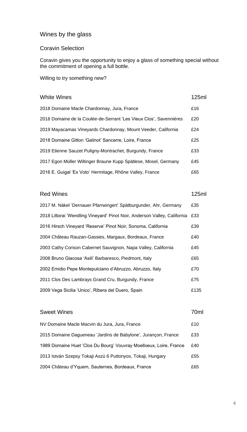#### Wines by the glass

#### Coravin Selection

Coravin gives you the opportunity to enjoy a glass of something special without the commitment of opening a full bottle.

Willing to try something new?

### White Wines **125ml**

| 2018 Domaine Macle Chardonnay, Jura, France                        | £16 |
|--------------------------------------------------------------------|-----|
| 2018 Domaine de la Coulée-de-Serrant 'Les Vieux Clos', Savennières | £20 |
| 2019 Mayacamas Vineyards Chardonnay, Mount Veeder, California      | £24 |
| 2018 Domaine Gitton 'Galinot' Sancerre, Loire, France              | £25 |
| 2019 Etienne Sauzet Puligny-Montrachet, Burgundy, France           | £33 |
| 2017 Egon Müller Wiltinger Braune Kupp Spätlese, Mosel, Germany    | £45 |
| 2016 E. Guigal 'Ex Voto' Hermitage, Rhône Valley, France           | £65 |

### Red Wines 2008 125ml 2017 M. Näkel 'Dernauer Pfarrwingert' Spätburgunder, Ahr, Germany £35 2018 Littorai 'Wendling Vineyard' Pinot Noir, Anderson Valley, California £33 2016 Hirsch Vineyard 'Reserve' Pinot Noir, Sonoma, California £39 2004 Château Rauzan-Gassies, Margaux, Bordeaux, France £40 2003 Cathy Corison Cabernet Sauvignon, Napa Valley, California £45 2008 Bruno Giacosa 'Asili' Barbaresco, Piedmont, Italy £65 2002 Emidio Pepe Montepulciano d'Abruzzo, Abruzzo, Italy £70 2011 Clos Des Lambrays Grand Cru, Burgundy, France £75 2009 Vega Sicilia 'Unico', Ribera del Duero, Spain £135

### Sweet Wines **70ml** NV Domaine Macle Macvin du Jura, Jura, France £10 2015 Domaine Dagueneau 'Jardins de Babylone', Jurançon, France £33 1989 Domaine Huet 'Clos Du Bourg' Vouvray Moelloeux, Loire, France £40 2013 István Szepsy Tokaji Aszú 6 Puttonyos, Tokaji, Hungary £55 2004 Château d'Yquem, Sauternes, Bordeaux, France £65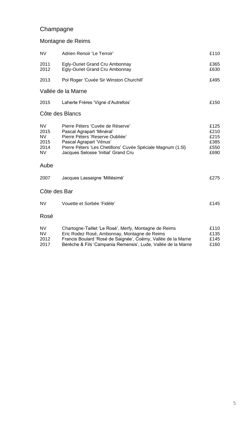### Champagne

#### Montagne de Reims

| <b>NV</b>                                       | Adrien Renoir 'Le Terroir'                                                                                                                                                                                                        | £110                                         |
|-------------------------------------------------|-----------------------------------------------------------------------------------------------------------------------------------------------------------------------------------------------------------------------------------|----------------------------------------------|
| 2011<br>2012                                    | Egly-Ouriet Grand Cru Ambonnay<br>Egly-Ouriet Grand Cru Ambonnay                                                                                                                                                                  | £365<br>£630                                 |
| 2013                                            | Pol Roger 'Cuvée Sir Winston Churchill'                                                                                                                                                                                           | £495                                         |
|                                                 | Vallée de la Marne                                                                                                                                                                                                                |                                              |
| 2015                                            | Laherte Frères 'Vigne d'Autrefois'                                                                                                                                                                                                | £150                                         |
|                                                 | Côte des Blancs                                                                                                                                                                                                                   |                                              |
| NV.<br>2015<br><b>NV</b><br>2015<br>2014<br>NV. | Pierre Péters 'Cuvée de Réserve'<br>Pascal Agrapart 'Minéral'<br>Pierre Péters 'Reserve Oubliée'<br>Pascal Agrapart 'Vénus'<br>Pierre Péters 'Les Chetillons' Cuvée Spéciale Magnum (1.5I)<br>Jacques Selosse 'Initial' Grand Cru | £125<br>£210<br>£215<br>£385<br>£550<br>£690 |
| Aube                                            |                                                                                                                                                                                                                                   |                                              |
| 2007                                            | Jacques Lassaigne 'Millésimé'                                                                                                                                                                                                     | £275                                         |
| Côte des Bar                                    |                                                                                                                                                                                                                                   |                                              |
| NV.                                             | Vouette et Sorbée 'Fidèle'                                                                                                                                                                                                        | £145                                         |
| Rosé                                            |                                                                                                                                                                                                                                   |                                              |
| NV.<br>NV                                       | Chartogne-Taillet 'Le Rosé', Merfy, Montagne de Reims<br>Eric Rodez Rosé, Ambonnay, Montagne de Reims                                                                                                                             | £110<br>£135                                 |

| <b>NV</b> | Eric Rodez Rose, Ambonnay, Montagne de Reims                 | £135 |
|-----------|--------------------------------------------------------------|------|
| 2012      | Francis Boulard 'Rosé de Saignée', Coëmy, Vallée de la Marne | £145 |
| 2017      | Bérêche & Fils 'Campania Remensis', Lude, Vallée de la Marne | £160 |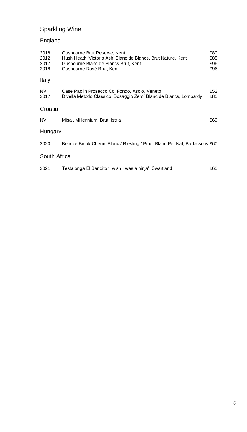### Sparkling Wine

### England

| 2018<br>2012<br>2017<br>2018 | Gusbourne Brut Reserve, Kent<br>Hush Heath 'Victoria Ash' Blanc de Blancs, Brut Nature, Kent<br>Gusbourne Blanc de Blancs Brut, Kent<br>Gusbourne Rosé Brut, Kent | £80<br>£85<br>£96<br>£96 |
|------------------------------|-------------------------------------------------------------------------------------------------------------------------------------------------------------------|--------------------------|
| Italy                        |                                                                                                                                                                   |                          |
| NV<br>2017                   | Case Paolin Prosecco Col Fondo, Asolo, Veneto<br>Divella Metodo Classico 'Dosaggio Zero' Blanc de Blancs, Lombardy                                                | £52<br>£85               |
| Croatia                      |                                                                                                                                                                   |                          |
| NV.                          | Misal, Millennium, Brut, Istria                                                                                                                                   | £69                      |
| Hungary                      |                                                                                                                                                                   |                          |
| 2020                         | Bencze Birtok Chenin Blanc / Riesling / Pinot Blanc Pet Nat, Badacsony £60                                                                                        |                          |
| South Africa                 |                                                                                                                                                                   |                          |
| 2021                         | Testalonga El Bandito 'I wish I was a ninja', Swartland                                                                                                           | £65                      |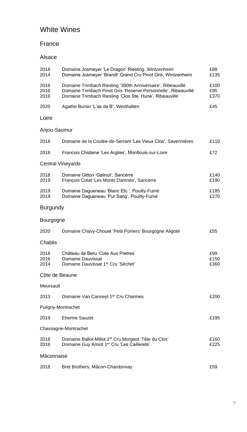### White Wines

#### France

#### Alsace

| 2018<br>2014         | Domaine Josmeyer 'Le Dragon' Riesling, Wintzenheim<br>Domaine Josmeyer 'Brandt' Grand Cru Pinot Gris, Wintzenheim                                                                        | £88<br>£135         |
|----------------------|------------------------------------------------------------------------------------------------------------------------------------------------------------------------------------------|---------------------|
| 2016<br>2016<br>2016 | Domaine Trimbach Riesling '390th Anniversaire', Ribeauvillé<br>Domaine Trimbach Pinot Gris 'Reserve Personnelle', Ribeauvillé<br>Domaine Trimbach Riesling 'Clos Ste. Hune', Ribeauvillé | £100<br>£95<br>£370 |
| 2020                 | Agathe Bursin 'L'as de B', Westhalten                                                                                                                                                    | £45                 |
| Loire                |                                                                                                                                                                                          |                     |
| Anjou-Saumur         |                                                                                                                                                                                          |                     |
| 2018                 | Domaine de la Coulée-de-Serrant 'Les Vieux Clos', Savennières                                                                                                                            | £110                |
| 2018                 | Francois Chidaine 'Les Argiles', Montlouis-sur-Loire                                                                                                                                     | £72.                |
|                      | <b>Central Vineyards</b>                                                                                                                                                                 |                     |
| 2018<br>2019         | Domaine Gitton 'Galinot', Sancerre<br>François Cotat 'Les Monts Damnés', Sancerre                                                                                                        | £140<br>£190        |
| 2019<br>2019         | Domaine Dagueneau 'Blanc Etc.', Pouilly-Fumé<br>Domaine Dagueneau 'Pur Sang', Pouilly-Fumé                                                                                               | £185<br>£270        |
| Burgundy             |                                                                                                                                                                                          |                     |
| Bourgogne            |                                                                                                                                                                                          |                     |
| 2020                 | Domaine Chavy-Chouet 'Petit Poiriers' Bourgogne Aligoté                                                                                                                                  | £55                 |
| Chablis              |                                                                                                                                                                                          |                     |
| 2018<br>2016<br>2014 | Château de Beru 'Cote Aux Pretres'<br>Domaine Dauvissat<br>Domaine Dauvissat 1er Cru 'Séchet'                                                                                            | £99<br>£150<br>£360 |
| Côte de Beaune       |                                                                                                                                                                                          |                     |
| Meursault            |                                                                                                                                                                                          |                     |
| 2013                 | Domaine Van Canneyt 1er Cru Charmes                                                                                                                                                      | £200                |
| Puligny-Montrachet   |                                                                                                                                                                                          |                     |
| 2019                 | <b>Etienne Sauzet</b>                                                                                                                                                                    | £195                |
|                      | Chassagne-Montrachet                                                                                                                                                                     |                     |
| 2018<br>2016         | Domaine Ballot-Millot 1er Cru Morgeot 'Tête du Clos'<br>Domaine Guy Amiot 1er Cru 'Les Caillerets'                                                                                       | £160<br>£225        |
| Mâconnaise           |                                                                                                                                                                                          |                     |
| 2018                 | Bret Brothers, Mâcon-Chardonnay                                                                                                                                                          | £59                 |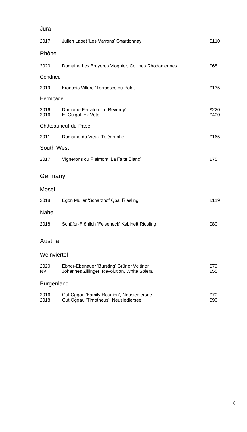| Jura              |                                                                                           |              |
|-------------------|-------------------------------------------------------------------------------------------|--------------|
| 2017              | Julien Labet 'Les Varrons' Chardonnay                                                     | £110         |
| Rhône             |                                                                                           |              |
| 2020              | Domaine Les Bruyeres Viognier, Collines Rhodaniennes                                      | £68          |
| Condrieu          |                                                                                           |              |
| 2019              | Francois Villard 'Terrasses du Palat'                                                     | £135         |
| Hermitage         |                                                                                           |              |
| 2016<br>2016      | Domaine Ferraton 'Le Reverdy'<br>E. Guigal 'Ex Voto'                                      | £220<br>£400 |
|                   | Châteauneuf-du-Pape                                                                       |              |
| 2011              | Domaine du Vieux Télégraphe                                                               | £165         |
| South West        |                                                                                           |              |
| 2017              | Vignerons du Plaimont 'La Faite Blanc'                                                    | £75          |
| Germany           |                                                                                           |              |
| Mosel             |                                                                                           |              |
| 2018              | Egon Müller 'Scharzhof Qba' Riesling                                                      | £119         |
| Nahe              |                                                                                           |              |
| 2018              | Schäfer-Fröhlich 'Felseneck' Kabinett Riesling                                            | £80          |
| Austria           |                                                                                           |              |
| Weinviertel       |                                                                                           |              |
| 2020<br>NV        | Ebner-Ebenauer 'Bursting' Grüner Veltiner<br>Johannes Zillinger, Revolution, White Solera | £79<br>£55   |
| <b>Burgenland</b> |                                                                                           |              |
| 2016<br>2018      | Gut Oggau 'Family Reunion', Neusiedlersee<br>Gut Oggau 'Timotheus', Neusiedlersee         | £70<br>£90   |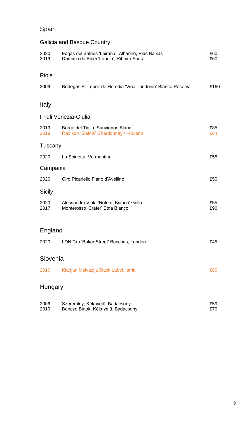### Spain

### Galicia and Basque Country

| 2020<br>2019 | Forjas del Salnes 'Leirana', Albarino, Rias Baixas<br>Dominio do Bibei 'Lapola', Ribeira Sacra | £60<br>£60 |
|--------------|------------------------------------------------------------------------------------------------|------------|
| Rioja        |                                                                                                |            |
| 2009         | Bodegas R. Lopez de Heredia 'Viña Tondonia' Blanco Reserva                                     | £160       |
| Italy        |                                                                                                |            |
|              | Friuli Venezia-Giulia                                                                          |            |
|              |                                                                                                |            |
| 2019<br>2019 | Borgo del Tiglio, Sauvignon Blanc<br>Radikon 'Slatnik' Chardonnay / Friulano                   | £85<br>£84 |
| Tuscany      |                                                                                                |            |
| 2020         | La Spinetta, Vermentino                                                                        | £55        |
| Campania     |                                                                                                |            |
| 2020         | Ciro Picariello Fiano d'Avellino                                                               | £50        |
| Sicily       |                                                                                                |            |
| 2020<br>2017 | Alessandro Viola 'Note di Bianco' Grillo<br>Monterosso 'Crater' Etna Bianco                    | £55<br>£90 |
| England      |                                                                                                |            |
| 2020         | LDN Cru 'Baker Street' Bacchus, London                                                         | £45        |
| Slovenia     |                                                                                                |            |
|              |                                                                                                |            |
| 2016         | Klabjan Malvazija Black Label, Istria                                                          | £80        |
| Hungary      |                                                                                                |            |
| 2006<br>2019 | Szeremley, Kéknyelű, Badacsony<br>Bencze Birtok, Kéknyelű, Badacsony                           | £59<br>£70 |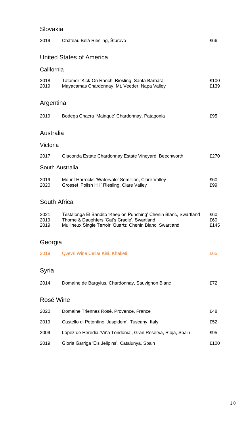### Slovakia

| 2019                 | Château Belá Riesling, Štúrovo                                                                                                                                                | £66                |
|----------------------|-------------------------------------------------------------------------------------------------------------------------------------------------------------------------------|--------------------|
|                      | United States of America                                                                                                                                                      |                    |
| California           |                                                                                                                                                                               |                    |
| 2018<br>2019         | Tatomer 'Kick-On Ranch' Riesling, Santa Barbara<br>Mayacamas Chardonnay, Mt. Veeder, Napa Valley                                                                              | £100<br>£139       |
| Argentina            |                                                                                                                                                                               |                    |
| 2019                 | Bodega Chacra 'Mainqué' Chardonnay, Patagonia                                                                                                                                 | £95                |
| Australia            |                                                                                                                                                                               |                    |
| Victoria             |                                                                                                                                                                               |                    |
| 2017                 | Giaconda Estate Chardonnay Estate Vineyard, Beechworth                                                                                                                        | £270               |
|                      | South Australia                                                                                                                                                               |                    |
| 2019<br>2020         | Mount Horrocks 'Watervale' Semillion, Clare Valley<br>Grosset 'Polish Hill' Riesling, Clare Valley                                                                            | £60<br>£99         |
|                      | South Africa                                                                                                                                                                  |                    |
| 2021<br>2019<br>2019 | Testalonga El Bandito 'Keep on Punching' Chenin Blanc, Swartland<br>Thorne & Daughters 'Cat's Cradle', Swartland<br>Mullineux Single Terroir 'Quartz' Chenin Blanc, Swartland | £60<br>£60<br>£145 |
| Georgia              |                                                                                                                                                                               |                    |
| 2019                 | Qvevri Wine Cellar Kisi, Khaketi                                                                                                                                              | £65                |
| Syria                |                                                                                                                                                                               |                    |
| 2014                 | Domaine de Bargylus, Chardonnay, Sauvignon Blanc                                                                                                                              | £72                |
| Rosé Wine            |                                                                                                                                                                               |                    |
| 2020                 | Domaine Triennes Rosé, Provence, France                                                                                                                                       | £48                |
| 2019                 | Castello di Potentino 'Jaspidem', Tuscany, Italy                                                                                                                              | £52                |
| 2009                 | López de Heredia 'Viña Tondonia', Gran Reserva, Rioja, Spain                                                                                                                  | £95                |
| 2019                 | Gloria Garriga 'Els Jelipins', Catalunya, Spain                                                                                                                               | £100               |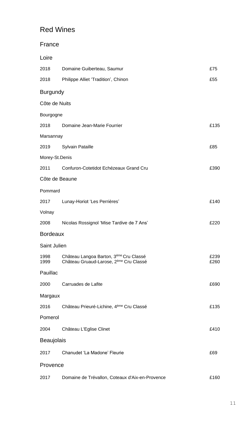### Red Wines

| Domaine Guiberteau, Saumur                                                                               | £75                                                                                                                                                                                  |  |
|----------------------------------------------------------------------------------------------------------|--------------------------------------------------------------------------------------------------------------------------------------------------------------------------------------|--|
| Philippe Alliet 'Tradition', Chinon                                                                      | £55                                                                                                                                                                                  |  |
|                                                                                                          |                                                                                                                                                                                      |  |
|                                                                                                          |                                                                                                                                                                                      |  |
|                                                                                                          |                                                                                                                                                                                      |  |
| Domaine Jean-Marie Fourrier                                                                              | £135                                                                                                                                                                                 |  |
|                                                                                                          |                                                                                                                                                                                      |  |
| Sylvain Pataille                                                                                         | £85                                                                                                                                                                                  |  |
|                                                                                                          |                                                                                                                                                                                      |  |
| Confuron-Cotetidot Echézeaux Grand Cru                                                                   | £390                                                                                                                                                                                 |  |
|                                                                                                          |                                                                                                                                                                                      |  |
|                                                                                                          |                                                                                                                                                                                      |  |
| Lunay-Horiot 'Les Perrières'                                                                             | £140                                                                                                                                                                                 |  |
|                                                                                                          |                                                                                                                                                                                      |  |
| Nicolas Rossignol 'Mise Tardive de 7 Ans'                                                                | £220                                                                                                                                                                                 |  |
|                                                                                                          |                                                                                                                                                                                      |  |
|                                                                                                          |                                                                                                                                                                                      |  |
| Château Langoa Barton, 3 <sup>ème</sup> Cru Classé<br>Château Gruaud-Larose, 2 <sup>ème</sup> Cru Classé | £239<br>£260                                                                                                                                                                         |  |
|                                                                                                          |                                                                                                                                                                                      |  |
|                                                                                                          | £690                                                                                                                                                                                 |  |
|                                                                                                          |                                                                                                                                                                                      |  |
| Château Prieuré-Lichine, 4ème Cru Classé                                                                 | £135                                                                                                                                                                                 |  |
|                                                                                                          |                                                                                                                                                                                      |  |
| Château L'Eglise Clinet                                                                                  | £410                                                                                                                                                                                 |  |
| Beaujolais                                                                                               |                                                                                                                                                                                      |  |
| Chanudet 'La Madone' Fleurie                                                                             | £69                                                                                                                                                                                  |  |
|                                                                                                          |                                                                                                                                                                                      |  |
| Domaine de Trévallon, Coteaux d'Aix-en-Provence                                                          | £160                                                                                                                                                                                 |  |
|                                                                                                          | <b>Burgundy</b><br>Côte de Nuits<br>Bourgogne<br>Marsannay<br>Morey-St.Denis<br>Côte de Beaune<br><b>Bordeaux</b><br>Saint Julien<br>2000 Carruades de Lafite<br>Margaux<br>Provence |  |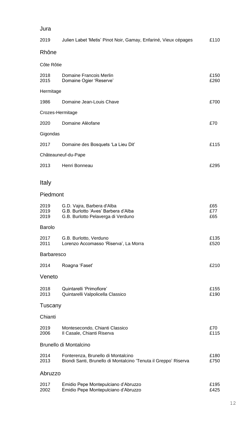#### Jura

| 2019                   | Julien Labet 'Metis' Pinot Noir, Gamay, Enfariné, Vieux cépages                                         | £110              |
|------------------------|---------------------------------------------------------------------------------------------------------|-------------------|
| Rhône                  |                                                                                                         |                   |
| Côte Rôtie             |                                                                                                         |                   |
| 2018<br>2015           | Domaine Francois Merlin<br>Domaine Ogier 'Reserve'                                                      | £150<br>£260      |
| Hermitage              |                                                                                                         |                   |
| 1986                   | Domaine Jean-Louis Chave                                                                                | £700              |
| Crozes-Hermitage       |                                                                                                         |                   |
| 2020                   | Domaine Alèofane                                                                                        | £70               |
| Gigondas               |                                                                                                         |                   |
| 2017                   | Domaine des Bosquets 'La Lieu Dit'                                                                      | £115              |
|                        | Châteauneuf-du-Pape                                                                                     |                   |
| 2013                   | Henri Bonneau                                                                                           | £295              |
| Italy                  |                                                                                                         |                   |
| Piedmont               |                                                                                                         |                   |
| 2019<br>2019<br>2019   | G.D. Vajra, Barbera d'Alba<br>G.B. Burlotto 'Aves' Barbera d'Alba<br>G.B. Burlotto Pelaverga di Verduno | £65<br>£77<br>£65 |
| <b>Barolo</b>          |                                                                                                         |                   |
| 2017<br>2011           | G.B. Burlotto, Verduno<br>Lorenzo Accomasso 'Riserva', La Morra                                         | £135<br>£520      |
| <b>Barbaresco</b>      |                                                                                                         |                   |
| 2014                   | Roagna 'Faset'                                                                                          | £210              |
| Veneto                 |                                                                                                         |                   |
| 2018<br>2013           | Quintarelli 'Primofiore'<br>Quintarelli Valpolicella Classico                                           | £155<br>£190      |
| Tuscany                |                                                                                                         |                   |
| Chianti                |                                                                                                         |                   |
| 2019<br>2006           | Montesecondo, Chianti Classico<br>Il Casale, Chianti Riserva                                            | £70<br>£115       |
| Brunello di Montalcino |                                                                                                         |                   |
| 2014<br>2013           | Fonterenza, Brunello di Montalcino<br>Biondi Santi, Brunello di Montalcino 'Tenuta il Greppo' Riserva   | £180<br>£750      |
| Abruzzo                |                                                                                                         |                   |
| 2017<br>2002           | Emidio Pepe Montepulciano d'Abruzzo<br>Emidio Pepe Montepulciano d'Abruzzo                              | £195<br>£425      |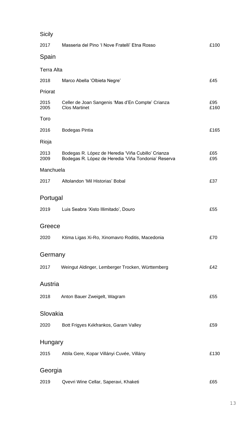| Sicily       |                                                                                                           |             |
|--------------|-----------------------------------------------------------------------------------------------------------|-------------|
| 2017         | Masseria del Pino 'I Nove Fratelli' Etna Rosso                                                            | £100        |
| Spain        |                                                                                                           |             |
| Terra Alta   |                                                                                                           |             |
| 2018         | Marco Abella 'Olbieta Negre'                                                                              | £45         |
| Priorat      |                                                                                                           |             |
| 2015<br>2005 | Celler de Joan Sangenis 'Mas d'En Compte' Crianza<br><b>Clos Martinet</b>                                 | £95<br>£160 |
| Toro         |                                                                                                           |             |
| 2016         | Bodegas Pintia                                                                                            | £165        |
| Rioja        |                                                                                                           |             |
| 2013<br>2009 | Bodegas R. López de Heredia 'Viña Cubillo' Crianza<br>Bodegas R. López de Heredia 'Viña Tondonia' Reserva | £65<br>£95  |
| Manchuela    |                                                                                                           |             |
| 2017         | Altolandon 'Mil Historias' Bobal                                                                          | £37         |
| Portugal     |                                                                                                           |             |
| 2019         | Luis Seabra 'Xisto Illimitado', Douro                                                                     | £55         |
| Greece       |                                                                                                           |             |
| 2020         | Ktima Ligas Xi-Ro, Xinomavro Roditis, Macedonia                                                           | £70         |
| Germany      |                                                                                                           |             |
| 2017         | Weingut Aldinger, Lemberger Trocken, Württemberg                                                          | £42         |
| Austria      |                                                                                                           |             |
| 2018         | Anton Bauer Zweigelt, Wagram                                                                              | £55         |
| Slovakia     |                                                                                                           |             |
| 2020         | Bott Frigyes Kékfrankos, Garam Valley                                                                     | £59         |
| Hungary      |                                                                                                           |             |
| 2015         | Attila Gere, Kopar Villányi Cuvée, Villány                                                                | £130        |
| Georgia      |                                                                                                           |             |
| 2019         | Qvevri Wine Cellar, Saperavi, Khaketi                                                                     | £65         |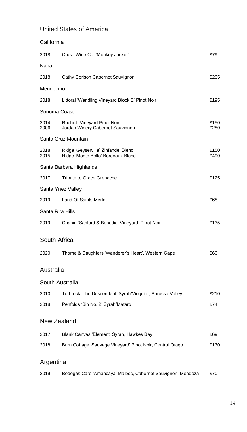### United States of America

| California       |                                                                           |              |
|------------------|---------------------------------------------------------------------------|--------------|
| 2018             | Cruse Wine Co. 'Monkey Jacket'                                            | £79          |
| Napa             |                                                                           |              |
| 2018             | Cathy Corison Cabernet Sauvignon                                          | £235         |
| Mendocino        |                                                                           |              |
| 2018             | Littorai 'Wendling Vineyard Block E' Pinot Noir                           | £195         |
| Sonoma Coast     |                                                                           |              |
| 2014<br>2006     | Rochioli Vineyard Pinot Noir<br>Jordan Winery Cabernet Sauvignon          | £150<br>£280 |
|                  | Santa Cruz Mountain                                                       |              |
| 2018<br>2015     | Ridge 'Geyserville' Zinfandel Blend<br>Ridge 'Monte Bello' Bordeaux Blend | £150<br>£490 |
|                  | Santa Barbara Highlands                                                   |              |
| 2017             | Tribute to Grace Grenache                                                 | £125         |
|                  | Santa Ynez Valley                                                         |              |
| 2019             | Land Of Saints Merlot                                                     | £68          |
| Santa Rita Hills |                                                                           |              |
| 2019             | Chanin 'Sanford & Benedict Vineyard' Pinot Noir                           | £135         |
| South Africa     |                                                                           |              |
| 2020             | Thorne & Daughters 'Wanderer's Heart', Western Cape                       | £60          |
| Australia        |                                                                           |              |
|                  | South Australia                                                           |              |
| 2010             | Torbreck 'The Descendant' Syrah/Viognier, Barossa Valley                  | £210         |
| 2018             | Penfolds 'Bin No. 2' Syrah/Mataro                                         | £74          |
|                  | New Zealand                                                               |              |
| 2017             | Blank Canvas 'Element' Syrah, Hawkes Bay                                  | £69          |
| 2018             | Burn Cottage 'Sauvage Vineyard' Pinot Noir, Central Otago                 | £130         |
| Argentina        |                                                                           |              |
| 2019             | Bodegas Caro 'Amancaya' Malbec, Cabernet Sauvignon, Mendoza               | £70          |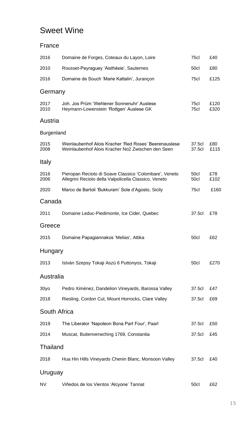### Sweet Wine

#### France

| 2016         | Domaine de Forges, Coteaux du Layon, Loire                                                                      | 75cl             | £40          |
|--------------|-----------------------------------------------------------------------------------------------------------------|------------------|--------------|
| 2010         | Rousset-Peyraguey 'Aisthésie', Sauternes                                                                        | 50cl             | £80          |
| 2016         | Domaine de Souch 'Marie Kattalin', Jurançon                                                                     | 75cl             | £125         |
| Germany      |                                                                                                                 |                  |              |
| 2017<br>2010 | Joh. Jos Prüm 'Wehlener Sonnenuhr' Auslese<br>Heymann-Lowenstein 'Rottgen' Auslese GK                           | 75cl<br>75cl     | £120<br>£320 |
| Austria      |                                                                                                                 |                  |              |
| Burgenland   |                                                                                                                 |                  |              |
| 2015<br>2008 | Weinlaubenhof Alois Kracher 'Red Roses' Beerenauslese<br>Weinlaubenhof Alois Kracher No2 Zwischen den Seen      | 37.5cl<br>37.5cl | £80<br>£115  |
| Italy        |                                                                                                                 |                  |              |
| 2016<br>2006 | Pieropan Recioto di Soave Classico 'Colombare', Veneto<br>Allegrini Recioto della Valpolicella Classico, Veneto | 50cl<br>50cl     | £78<br>£102  |
| 2020         | Marco de Bartoli 'Bukkuram' Sole d'Agosto, Sicily                                                               | 75cl             | £160         |
| Canada       |                                                                                                                 |                  |              |
| 2011         | Domaine Leduc-Piedimonte, Ice Cider, Quebec                                                                     | 37.5cl           | £78          |
| Greece       |                                                                                                                 |                  |              |
| 2015         | Domaine Papagiannakos 'Melias', Attika                                                                          | 50cl             | £62          |
| Hungary      |                                                                                                                 |                  |              |
| 2013         | István Szepsy Tokaji Aszú 6 Puttonyos, Tokaji                                                                   | 50cl             | £270         |
| Australia    |                                                                                                                 |                  |              |
| 30yo         | Pedro Ximénez, Dandelion Vineyards, Barossa Valley                                                              | 37.5cl           | £47          |
| 2018         | Riesling, Cordon Cut, Mount Horrocks, Clare Valley                                                              | 37.5cl           | £69          |
| South Africa |                                                                                                                 |                  |              |
| 2019         | The Liberator 'Napoleon Bona Part Four', Paarl                                                                  | 37.5cl           | £50          |
| 2014         | Muscat, Buitenverwching 1769, Constantia                                                                        | 37.5cl           | £45          |
| Thailand     |                                                                                                                 |                  |              |
| 2018         | Hua Hin Hills Vineyards Chenin Blanc, Monsoon Valley                                                            | 37.5cl           | £40          |
| Uruguay      |                                                                                                                 |                  |              |
| NV           | Viñedos de los Vientos 'Alcyone' Tannat                                                                         | 50cl             | £62          |